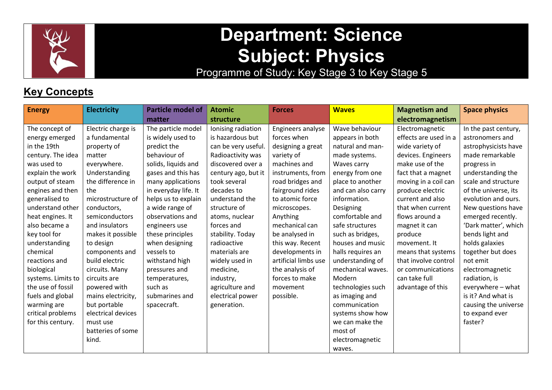

# Department: Science Subject: Physics

Programme of Study: Key Stage 3 to Key Stage 5

# **Key Concepts**

| <b>Energy</b>      | <b>Electricity</b> | <b>Particle model of</b> | <b>Atomic</b>       | <b>Forces</b>        | <b>Waves</b>       | <b>Magnetism and</b>  | <b>Space physics</b> |
|--------------------|--------------------|--------------------------|---------------------|----------------------|--------------------|-----------------------|----------------------|
|                    |                    | matter                   | structure           |                      |                    | electromagnetism      |                      |
| The concept of     | Electric charge is | The particle model       | Ionising radiation  | Engineers analyse    | Wave behaviour     | Electromagnetic       | In the past century, |
| energy emerged     | a fundamental      | is widely used to        | is hazardous but    | forces when          | appears in both    | effects are used in a | astronomers and      |
| in the 19th        | property of        | predict the              | can be very useful. | designing a great    | natural and man-   | wide variety of       | astrophysicists have |
| century. The idea  | matter             | behaviour of             | Radioactivity was   | variety of           | made systems.      | devices. Engineers    | made remarkable      |
| was used to        | everywhere.        | solids, liquids and      | discovered over a   | machines and         | Waves carry        | make use of the       | progress in          |
| explain the work   | Understanding      | gases and this has       | century ago, but it | instruments, from    | energy from one    | fact that a magnet    | understanding the    |
| output of steam    | the difference in  | many applications        | took several        | road bridges and     | place to another   | moving in a coil can  | scale and structure  |
| engines and then   | the                | in everyday life. It     | decades to          | fairground rides     | and can also carry | produce electric      | of the universe, its |
| generalised to     | microstructure of  | helps us to explain      | understand the      | to atomic force      | information.       | current and also      | evolution and ours.  |
| understand other   | conductors,        | a wide range of          | structure of        | microscopes.         | Designing          | that when current     | New questions have   |
| heat engines. It   | semiconductors     | observations and         | atoms, nuclear      | Anything             | comfortable and    | flows around a        | emerged recently.    |
| also became a      | and insulators     | engineers use            | forces and          | mechanical can       | safe structures    | magnet it can         | 'Dark matter', which |
| key tool for       | makes it possible  | these principles         | stability. Today    | be analysed in       | such as bridges,   | produce               | bends light and      |
| understanding      | to design          | when designing           | radioactive         | this way. Recent     | houses and music   | movement. It          | holds galaxies       |
| chemical           | components and     | vessels to               | materials are       | developments in      | halls requires an  | means that systems    | together but does    |
| reactions and      | build electric     | withstand high           | widely used in      | artificial limbs use | understanding of   | that involve control  | not emit             |
| biological         | circuits. Many     | pressures and            | medicine,           | the analysis of      | mechanical waves.  | or communications     | electromagnetic      |
| systems. Limits to | circuits are       | temperatures,            | industry,           | forces to make       | Modern             | can take full         | radiation, is        |
| the use of fossil  | powered with       | such as                  | agriculture and     | movement             | technologies such  | advantage of this     | everywhere - what    |
| fuels and global   | mains electricity, | submarines and           | electrical power    | possible.            | as imaging and     |                       | is it? And what is   |
| warming are        | but portable       | spacecraft.              | generation.         |                      | communication      |                       | causing the universe |
| critical problems  | electrical devices |                          |                     |                      | systems show how   |                       | to expand ever       |
| for this century.  | must use           |                          |                     |                      | we can make the    |                       | faster?              |
|                    | batteries of some  |                          |                     |                      | most of            |                       |                      |
|                    | kind.              |                          |                     |                      | electromagnetic    |                       |                      |
|                    |                    |                          |                     |                      | waves.             |                       |                      |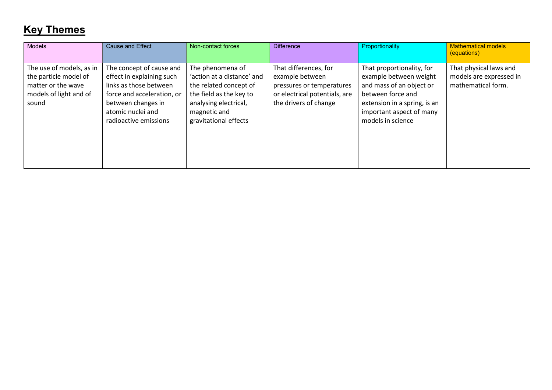# Key Themes

| <b>Models</b>                                                                                              | <b>Cause and Effect</b>                                                                                                                                                           | Non-contact forces                                                                                                                                                    | <b>Difference</b>                                                                                                               | Proportionality                                                                                                                                                                       | <b>Mathematical models</b><br>(equations)                               |
|------------------------------------------------------------------------------------------------------------|-----------------------------------------------------------------------------------------------------------------------------------------------------------------------------------|-----------------------------------------------------------------------------------------------------------------------------------------------------------------------|---------------------------------------------------------------------------------------------------------------------------------|---------------------------------------------------------------------------------------------------------------------------------------------------------------------------------------|-------------------------------------------------------------------------|
| The use of models, as in<br>the particle model of<br>matter or the wave<br>models of light and of<br>sound | The concept of cause and<br>effect in explaining such<br>links as those between<br>force and acceleration, or<br>between changes in<br>atomic nuclei and<br>radioactive emissions | The phenomena of<br>'action at a distance' and<br>the related concept of<br>the field as the key to<br>analysing electrical,<br>magnetic and<br>gravitational effects | That differences, for<br>example between<br>pressures or temperatures<br>or electrical potentials, are<br>the drivers of change | That proportionality, for<br>example between weight<br>and mass of an object or<br>between force and<br>extension in a spring, is an<br>important aspect of many<br>models in science | That physical laws and<br>models are expressed in<br>mathematical form. |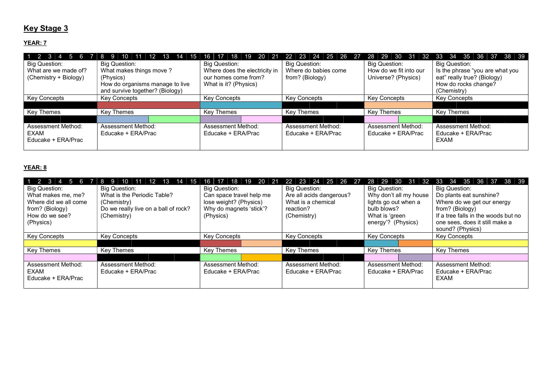## **Key Stage 3**

#### YEAR: 7

| $1 \quad 2 \quad 3$   |                                 | 19<br>20<br>-21<br>18<br>16   | -24<br>-25<br>- 26<br>-23<br>22 | 29<br>30<br>-31<br>28<br>-32 | 38 39<br>34<br>35<br>-33<br>-36<br>-37 |  |  |  |  |  |  |
|-----------------------|---------------------------------|-------------------------------|---------------------------------|------------------------------|----------------------------------------|--|--|--|--|--|--|
| Big Question:         | Big Question:                   | Big Question:                 | Big Question:                   | <b>Big Question:</b>         | Big Question:                          |  |  |  |  |  |  |
| What are we made of?  | What makes things move ?        | Where does the electricity in | Where do babies come            | How do we fit into our       | Is the phrase "you are what you        |  |  |  |  |  |  |
| (Chemistry + Biology) | (Physics)                       | our homes come from?          | from? (Biology)                 | Universe? (Physics)          | eat" really true? (Biology)            |  |  |  |  |  |  |
|                       | How do organisms manage to live | What is it? (Physics)         |                                 |                              | How do rocks change?                   |  |  |  |  |  |  |
|                       | and survive together? (Biology) |                               |                                 |                              | (Chemistry)                            |  |  |  |  |  |  |
| <b>Key Concepts</b>   | <b>Key Concepts</b>             | <b>Key Concepts</b>           | Key Concepts                    | <b>Key Concepts</b>          | <b>Key Concepts</b>                    |  |  |  |  |  |  |
|                       |                                 |                               |                                 |                              |                                        |  |  |  |  |  |  |
| Key Themes            | Key Themes                      | Key Themes                    | Key Themes                      | Key Themes                   | <b>Key Themes</b>                      |  |  |  |  |  |  |
|                       |                                 |                               |                                 |                              |                                        |  |  |  |  |  |  |
| Assessment Method:    | <b>Assessment Method:</b>       | <b>Assessment Method:</b>     | <b>Assessment Method:</b>       | Assessment Method:           | Assessment Method:                     |  |  |  |  |  |  |
| EXAM                  | Educake + ERA/Prac              | Educake + ERA/Prac            | Educake + ERA/Prac              | Educake + ERA/Prac           | Educake + ERA/Prac                     |  |  |  |  |  |  |
| Educake + ERA/Prac    |                                 |                               |                                 |                              | EXAM                                   |  |  |  |  |  |  |
|                       |                                 |                               |                                 |                              |                                        |  |  |  |  |  |  |

#### YEAR: 8

| $1 \vert 2$           | 15                                   | 19<br>-20<br>16.<br>18   | 24<br>23<br>25<br>26 27  | 30.<br>- 31<br>-32<br>29<br>28 | 34<br>-35<br>38 39<br>33<br>-36<br>37 |  |  |  |  |  |
|-----------------------|--------------------------------------|--------------------------|--------------------------|--------------------------------|---------------------------------------|--|--|--|--|--|
| Big Question:         | Big Question:                        | <b>Big Question:</b>     | <b>Big Question:</b>     | Big Question:                  | <b>Big Question:</b>                  |  |  |  |  |  |
| What makes me, me?    | What is the Periodic Table?          | Can space travel help me | Are all acids dangerous? | Why don't all my house         | Do plants eat sunshine?               |  |  |  |  |  |
| Where did we all come | (Chemistry)                          | lose weight? (Physics)   | What is a chemical       | lights go out when a           | Where do we get our energy            |  |  |  |  |  |
| from? (Biology)       | Do we really live on a ball of rock? | Why do magnets 'stick'?  | reaction?                | bulb blows?                    | from? (Biology)                       |  |  |  |  |  |
| How do we see?        | (Chemistry)                          | (Physics)                | (Chemistry)              | What is 'green                 | If a tree falls in the woods but no   |  |  |  |  |  |
| (Physics)             |                                      |                          |                          | energy'? (Physics)             | one sees, does it still make a        |  |  |  |  |  |
|                       |                                      |                          |                          |                                | sound? (Physics)                      |  |  |  |  |  |
| <b>Key Concepts</b>   | <b>Key Concepts</b>                  | <b>Key Concepts</b>      | <b>Key Concepts</b>      | <b>Key Concepts</b>            | Key Concepts                          |  |  |  |  |  |
|                       |                                      |                          |                          |                                |                                       |  |  |  |  |  |
| Key Themes            | <b>Key Themes</b>                    | Key Themes               | <b>Key Themes</b>        | Key Themes                     | <b>Kev Themes</b>                     |  |  |  |  |  |
|                       |                                      |                          |                          |                                |                                       |  |  |  |  |  |
| Assessment Method:    | Assessment Method:                   | Assessment Method:       | Assessment Method:       | Assessment Method:             | Assessment Method:                    |  |  |  |  |  |
| EXAM                  | Educake + ERA/Prac                   | Educake + ERA/Prac       | Educake + ERA/Prac       | Educake + ERA/Prac             | Educake + ERA/Prac                    |  |  |  |  |  |
| Educake + ERA/Prac    |                                      |                          |                          |                                | EXAM                                  |  |  |  |  |  |
|                       |                                      |                          |                          |                                |                                       |  |  |  |  |  |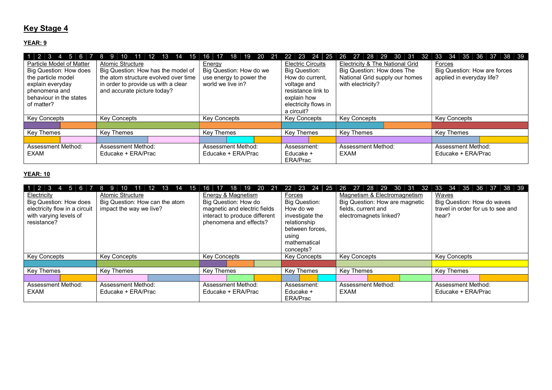## **Key Stage 4**

#### YEAR: 9

| $1 \ 2 \ 3 \ 4 \ 5 \ 6 \ 7 \ 8 \ 9$ | 10<br>12 13 14 15<br>$-11$           | 20<br>19<br>16<br>18<br>- 21 | -23.<br><b>24</b><br>25<br>22 | 29<br>30<br>28<br>27<br> 31<br>-32<br>26 | 37 38 39<br>34<br>35<br>33<br>36 |  |  |  |  |  |
|-------------------------------------|--------------------------------------|------------------------------|-------------------------------|------------------------------------------|----------------------------------|--|--|--|--|--|
| Particle Model of Matter            | Atomic Structure                     | Energy                       | <b>Electric Circuits</b>      | Electricity & The National Grid          | Forces                           |  |  |  |  |  |
| Big Question: How does              | Big Question: How has the model of   | Big Question: How do we      | Big Question:                 | Big Question: How does The               | Big Question: How are forces     |  |  |  |  |  |
| the particle model                  | the atom structure evolved over time | use energy to power the      | How do current.               | National Grid supply our homes           | applied in everyday life?        |  |  |  |  |  |
| explain everyday                    | in order to provide us with a clear  | world we live in?            | voltage and                   | with electricity?                        |                                  |  |  |  |  |  |
| phenomena and                       | and accurate picture today?          |                              | resistance link to            |                                          |                                  |  |  |  |  |  |
| behaviour in the states             |                                      |                              | explain how                   |                                          |                                  |  |  |  |  |  |
| of matter?                          |                                      |                              | electricity flows in          |                                          |                                  |  |  |  |  |  |
|                                     |                                      |                              | a circuit?                    |                                          |                                  |  |  |  |  |  |
| <b>Key Concepts</b>                 | <b>Key Concepts</b>                  | <b>Key Concepts</b>          | <b>Key Concepts</b>           | <b>Key Concepts</b>                      | <b>Key Concepts</b>              |  |  |  |  |  |
|                                     |                                      |                              |                               |                                          |                                  |  |  |  |  |  |
| Key Themes                          | Key Themes                           | Key Themes                   | Key Themes                    | Key Themes                               | Key Themes                       |  |  |  |  |  |
|                                     |                                      |                              |                               |                                          |                                  |  |  |  |  |  |
| Assessment Method:                  | Assessment Method:                   | Assessment Method:           | Assessment:                   | Assessment Method:                       | Assessment Method:               |  |  |  |  |  |
| EXAM                                | Educake + ERA/Prac                   | Educake + ERA/Prac           | Educake +                     | EXAM                                     | Educake + ERA/Prac               |  |  |  |  |  |
|                                     |                                      |                              | ERA/Prac                      |                                          |                                  |  |  |  |  |  |

#### YEAR: 10

| $1 \mid 2 \mid 3$<br>$4 \mid 5 \mid 6 \mid 7 \mid 8 \mid$<br>Electricity<br>Big Question: How does<br>electricity flow in a circuit<br>with varying levels of<br>resistance? | -9<br>15.<br><b>Atomic Structure</b><br>Big Question: How can the atom<br>impact the way we live? | 20 21<br>16<br>19<br>18<br>17<br>Energy & Magnetism<br>Big Question: How do<br>magnetic and electric fields<br>interact to produce different<br>phenomena and effects? | 22 23<br>24 25<br>Forces<br>Big Question:<br>How do we<br>investigate the<br>relationship<br>between forces.<br>using<br>mathematical<br>concepts? | -29<br>30<br>26<br>-27<br>-28<br>- 31<br>-32<br>Magnetism & Electromagnetism<br>Big Question: How are magnetic<br>fields, current and<br>electromagnets linked? | 33<br>-34<br>35<br>38 39<br>36<br>-37<br>Waves<br>Big Question: How do waves<br>travel in order for us to see and<br>hear? |  |  |  |  |  |
|------------------------------------------------------------------------------------------------------------------------------------------------------------------------------|---------------------------------------------------------------------------------------------------|------------------------------------------------------------------------------------------------------------------------------------------------------------------------|----------------------------------------------------------------------------------------------------------------------------------------------------|-----------------------------------------------------------------------------------------------------------------------------------------------------------------|----------------------------------------------------------------------------------------------------------------------------|--|--|--|--|--|
| <b>Key Concepts</b>                                                                                                                                                          | <b>Key Concepts</b>                                                                               | <b>Key Concepts</b>                                                                                                                                                    | <b>Key Concepts</b>                                                                                                                                | <b>Key Concepts</b>                                                                                                                                             | <b>Key Concepts</b>                                                                                                        |  |  |  |  |  |
|                                                                                                                                                                              |                                                                                                   |                                                                                                                                                                        |                                                                                                                                                    |                                                                                                                                                                 |                                                                                                                            |  |  |  |  |  |
| Key Themes                                                                                                                                                                   | Key Themes                                                                                        | Key Themes                                                                                                                                                             | Key Themes                                                                                                                                         | Key Themes                                                                                                                                                      | <b>Key Themes</b>                                                                                                          |  |  |  |  |  |
|                                                                                                                                                                              |                                                                                                   |                                                                                                                                                                        |                                                                                                                                                    |                                                                                                                                                                 |                                                                                                                            |  |  |  |  |  |
| Assessment Method:<br>EXAM                                                                                                                                                   | Assessment Method:<br>Educake + ERA/Prac                                                          | Assessment Method:<br>Educake + ERA/Prac                                                                                                                               | Assessment:<br>Educake +<br>ERA/Prac                                                                                                               | <b>Assessment Method:</b><br>EXAM                                                                                                                               | Assessment Method:<br>Educake + ERA/Prac                                                                                   |  |  |  |  |  |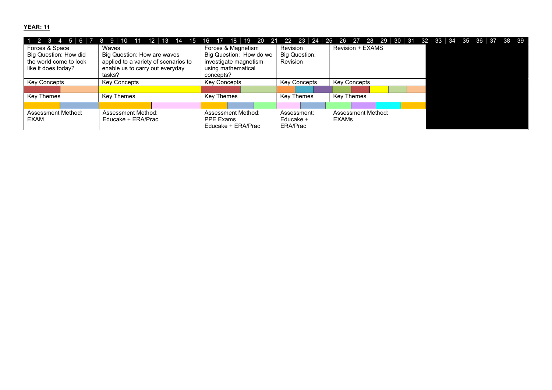#### YEAR: 11

| 1   2   3 4   5   6 7   8   9 | 10<br>11                             | 19<br>-20<br>18<br>16<br>- 21 | 22 23 24<br>- 25     | -28<br>29 30 31<br>27<br>-26<br>- 32 | 38 39<br>35 |
|-------------------------------|--------------------------------------|-------------------------------|----------------------|--------------------------------------|-------------|
| Forces & Space                | Waves                                | Forces & Magnetism            | Revision             | <b>Revision + EXAMS</b>              |             |
| Big Question: How did         | Big Question: How are waves          | Big Question: How do we       | <b>Big Question:</b> |                                      |             |
| the world come to look        | applied to a variety of scenarios to | investigate magnetism         | Revision             |                                      |             |
| like it does today?           | enable us to carry out everyday      | using mathematical            |                      |                                      |             |
|                               | tasks?                               | concepts?                     |                      |                                      |             |
| Key Concepts                  | Key Concepts                         | Key Concepts                  | <b>Key Concepts</b>  | Key Concepts                         |             |
|                               |                                      |                               |                      |                                      |             |
| Key Themes                    | Key Themes                           | Key Themes                    | Key Themes           | Key Themes                           |             |
|                               |                                      |                               |                      |                                      |             |
| <b>Assessment Method:</b>     | <b>Assessment Method:</b>            | Assessment Method:            | Assessment:          | Assessment Method:                   |             |
| EXAM                          | Educake + ERA/Prac                   | PPE Exams                     | Educake +            | <b>EXAMs</b>                         |             |
|                               |                                      | ERA/Prac                      |                      |                                      |             |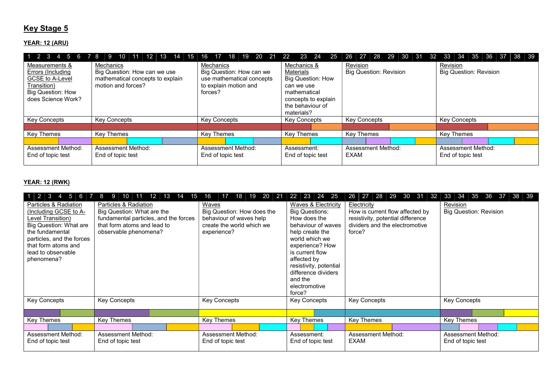## **Key Stage 5**

#### YEAR: 12 (ARU)

|                                                                                                                         | 1 2 3 4 5 6 7 8 9 10 11 12 13 14 15 16 17 18 19 20 21 22                                            |                                                                                                        |                                                                                                                                             | 23 24 25 26 27 28 29 30 31 32 33 34 35 36 37 | 38 39                                     |  |  |  |  |  |
|-------------------------------------------------------------------------------------------------------------------------|-----------------------------------------------------------------------------------------------------|--------------------------------------------------------------------------------------------------------|---------------------------------------------------------------------------------------------------------------------------------------------|----------------------------------------------|-------------------------------------------|--|--|--|--|--|
| Measurements &<br>Errors (Including<br>GCSE to A-Level<br>Transition)<br><b>Big Question: How</b><br>does Science Work? | Mechanics<br>Big Question: How can we use<br>mathematical concepts to explain<br>motion and forces? | Mechanics<br>Big Question: How can we<br>use mathematical concepts<br>to explain motion and<br>forces? | Mechanics &<br>Materials<br><b>Big Question: How</b><br>can we use<br>mathematical<br>concepts to explain<br>the behaviour of<br>materials? | Revision<br><b>Big Question: Revision</b>    | Revision<br><b>Big Question: Revision</b> |  |  |  |  |  |
| <b>Key Concepts</b>                                                                                                     | Key Concepts                                                                                        | Key Concepts                                                                                           | <b>Key Concepts</b>                                                                                                                         | <b>Key Concepts</b>                          | <b>Key Concepts</b>                       |  |  |  |  |  |
|                                                                                                                         |                                                                                                     |                                                                                                        |                                                                                                                                             |                                              |                                           |  |  |  |  |  |
| Key Themes                                                                                                              | Key Themes                                                                                          | Key Themes                                                                                             | Key Themes                                                                                                                                  | Key Themes                                   | Key Themes                                |  |  |  |  |  |
|                                                                                                                         |                                                                                                     |                                                                                                        |                                                                                                                                             |                                              |                                           |  |  |  |  |  |
| <b>Assessment Method:</b><br>End of topic test                                                                          | Assessment Method:<br>End of topic test                                                             | Assessment Method:<br>End of topic test                                                                | Assessment:<br>End of topic test                                                                                                            | <b>Assessment Method:</b><br>EXAM            | Assessment Method:<br>End of topic test   |  |  |  |  |  |

#### YEAR: 12 (RWK)

| $1 \overline{2}$ 3 4 5 6 7                                                                                                                                                                              | $11 \quad 12$<br>8<br>13<br>-9 I<br>10 <sup>°</sup><br>14<br>15                                                                                      | 19<br>20<br>18<br>$\vert$ 21<br>16<br>17                                                                   | 23 24 25<br>22                                                                                                                                                                                                                                                                 | 28<br>29<br>30<br>26<br>-27<br>-31<br>32                                                                                        | 34<br>35<br>36<br>38<br>33<br>- 39<br>-37 |  |  |  |  |
|---------------------------------------------------------------------------------------------------------------------------------------------------------------------------------------------------------|------------------------------------------------------------------------------------------------------------------------------------------------------|------------------------------------------------------------------------------------------------------------|--------------------------------------------------------------------------------------------------------------------------------------------------------------------------------------------------------------------------------------------------------------------------------|---------------------------------------------------------------------------------------------------------------------------------|-------------------------------------------|--|--|--|--|
| Particles & Radiation<br>Including GCSE to A-<br>Level Transition)<br>Big Question: What are<br>the fundamental<br>particles, and the forces<br>that form atoms and<br>lead to observable<br>phenomena? | Particles & Radiation<br>Big Question: What are the<br>fundamental particles, and the forces<br>that form atoms and lead to<br>observable phenomena? | Waves<br>Big Question: How does the<br>behaviour of waves help<br>create the world which we<br>experience? | <b>Waves &amp; Electricity</b><br><b>Big Questions:</b><br>How does the<br>behaviour of waves<br>help create the<br>world which we<br>experience? How<br>is current flow<br>affected by<br>resistivity, potential<br>difference dividers<br>and the<br>electromotive<br>force? | Electricity<br>How is current flow affected by<br>resistivity, potential difference<br>dividers and the electromotive<br>force? | Revision<br><b>Big Question: Revision</b> |  |  |  |  |
| <b>Key Concepts</b>                                                                                                                                                                                     | Key Concepts                                                                                                                                         | <b>Key Concepts</b>                                                                                        | <b>Key Concepts</b>                                                                                                                                                                                                                                                            | <b>Key Concepts</b>                                                                                                             | <b>Key Concepts</b>                       |  |  |  |  |
|                                                                                                                                                                                                         |                                                                                                                                                      |                                                                                                            |                                                                                                                                                                                                                                                                                |                                                                                                                                 |                                           |  |  |  |  |
| Key Themes                                                                                                                                                                                              | Key Themes                                                                                                                                           | Key Themes                                                                                                 | <b>Key Themes</b>                                                                                                                                                                                                                                                              | <b>Key Themes</b>                                                                                                               | Key Themes                                |  |  |  |  |
|                                                                                                                                                                                                         |                                                                                                                                                      |                                                                                                            |                                                                                                                                                                                                                                                                                |                                                                                                                                 |                                           |  |  |  |  |
| Assessment Method:<br>End of topic test                                                                                                                                                                 | <b>Assessment Method:</b><br>End of topic test                                                                                                       | Assessment Method:<br>End of topic test                                                                    | Assessment:<br>End of topic test                                                                                                                                                                                                                                               | Assessment Method:<br><b>EXAM</b>                                                                                               | Assessment Method:<br>End of topic test   |  |  |  |  |